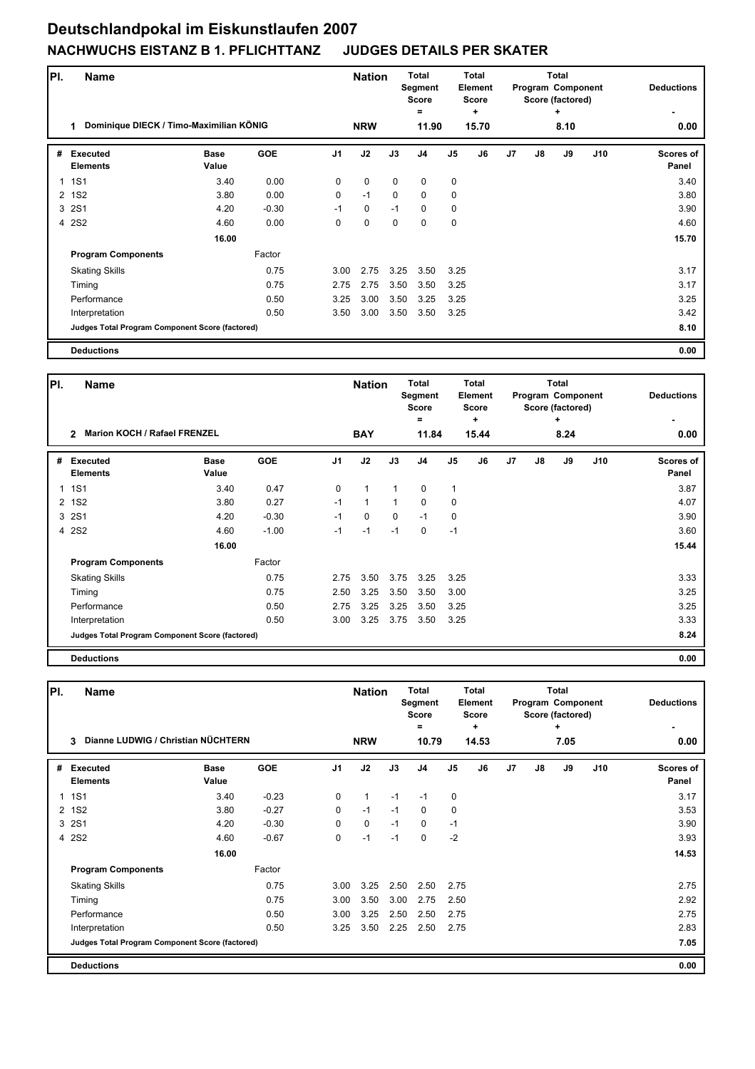## **Deutschlandpokal im Eiskunstlaufen 2007 NACHWUCHS EISTANZ B 1. PFLICHTTANZ JUDGES DETAILS PER SKATER**

| PI. | <b>Name</b>                                     |                      |            |                | <b>Nation</b> |             | <b>Total</b><br>Segment<br><b>Score</b><br>= |                | <b>Total</b><br>Element<br><b>Score</b><br>٠ |                |               | <b>Total</b><br>Program Component<br>Score (factored)<br>٠ |      | <b>Deductions</b>  |
|-----|-------------------------------------------------|----------------------|------------|----------------|---------------|-------------|----------------------------------------------|----------------|----------------------------------------------|----------------|---------------|------------------------------------------------------------|------|--------------------|
|     | Dominique DIECK / Timo-Maximilian KÖNIG<br>1    |                      |            |                | <b>NRW</b>    |             |                                              | 11.90<br>15.70 |                                              |                |               | 8.10                                                       | 0.00 |                    |
| #   | <b>Executed</b><br><b>Elements</b>              | <b>Base</b><br>Value | <b>GOE</b> | J <sub>1</sub> | J2            | J3          | J <sub>4</sub>                               | J5             | J6                                           | J <sub>7</sub> | $\mathsf{J}8$ | J9                                                         | J10  | Scores of<br>Panel |
| 1   | <b>1S1</b>                                      | 3.40                 | 0.00       | 0              | $\mathbf 0$   | $\mathbf 0$ | 0                                            | $\mathbf 0$    |                                              |                |               |                                                            |      | 3.40               |
| 2   | <b>1S2</b>                                      | 3.80                 | 0.00       | $\Omega$       | $-1$          | $\Omega$    | 0                                            | 0              |                                              |                |               |                                                            |      | 3.80               |
| 3   | <b>2S1</b>                                      | 4.20                 | $-0.30$    | $-1$           | $\mathbf 0$   | $-1$        | 0                                            | 0              |                                              |                |               |                                                            |      | 3.90               |
|     | 4 2S2                                           | 4.60                 | 0.00       | 0              | $\mathbf 0$   | $\Omega$    | $\mathbf 0$                                  | $\mathbf 0$    |                                              |                |               |                                                            |      | 4.60               |
|     |                                                 | 16.00                |            |                |               |             |                                              |                |                                              |                |               |                                                            |      | 15.70              |
|     | <b>Program Components</b>                       |                      | Factor     |                |               |             |                                              |                |                                              |                |               |                                                            |      |                    |
|     | <b>Skating Skills</b>                           |                      | 0.75       | 3.00           | 2.75          | 3.25        | 3.50                                         | 3.25           |                                              |                |               |                                                            |      | 3.17               |
|     | Timing                                          |                      | 0.75       | 2.75           | 2.75          | 3.50        | 3.50                                         | 3.25           |                                              |                |               |                                                            |      | 3.17               |
|     | Performance                                     |                      | 0.50       | 3.25           | 3.00          | 3.50        | 3.25                                         | 3.25           |                                              |                |               |                                                            |      | 3.25               |
|     | Interpretation                                  |                      | 0.50       | 3.50           | 3.00          | 3.50        | 3.50                                         | 3.25           |                                              |                |               |                                                            |      | 3.42               |
|     | Judges Total Program Component Score (factored) |                      |            |                |               |             |                                              |                |                                              |                |               |                                                            |      | 8.10               |
|     | <b>Deductions</b>                               |                      |            |                |               |             |                                              |                |                                              |                |               |                                                            |      | 0.00               |

| PI.          | <b>Name</b>                                           |                      |            |                | <b>Nation</b> |              | Total<br>Segment<br><b>Score</b><br>$=$ | <b>Total</b><br>Element<br>Score<br>÷ |       |                |    | Total<br>Program Component<br>Score (factored)<br>÷ | <b>Deductions</b> |                           |
|--------------|-------------------------------------------------------|----------------------|------------|----------------|---------------|--------------|-----------------------------------------|---------------------------------------|-------|----------------|----|-----------------------------------------------------|-------------------|---------------------------|
|              | <b>Marion KOCH / Rafael FRENZEL</b><br>$\overline{2}$ |                      |            |                | <b>BAY</b>    |              | 11.84                                   |                                       | 15.44 |                |    | 8.24                                                |                   | 0.00                      |
| #            | <b>Executed</b><br><b>Elements</b>                    | <b>Base</b><br>Value | <b>GOE</b> | J <sub>1</sub> | J2            | J3           | J <sub>4</sub>                          | J <sub>5</sub>                        | J6    | J <sub>7</sub> | J8 | J9                                                  | J10               | <b>Scores of</b><br>Panel |
| 1            | <b>1S1</b>                                            | 3.40                 | 0.47       | 0              | 1             | 1            | 0                                       | 1                                     |       |                |    |                                                     |                   | 3.87                      |
| $\mathbf{2}$ | <b>1S2</b>                                            | 3.80                 | 0.27       | $-1$           | $\mathbf{1}$  | $\mathbf{1}$ | 0                                       | $\mathbf 0$                           |       |                |    |                                                     |                   | 4.07                      |
|              | 3 2S1                                                 | 4.20                 | $-0.30$    | $-1$           | $\mathbf 0$   | $\Omega$     | $-1$                                    | $\mathbf 0$                           |       |                |    |                                                     |                   | 3.90                      |
|              | 4 2S2                                                 | 4.60                 | $-1.00$    | $-1$           | $-1$          | $-1$         | $\Omega$                                | $-1$                                  |       |                |    |                                                     |                   | 3.60                      |
|              |                                                       | 16.00                |            |                |               |              |                                         |                                       |       |                |    |                                                     |                   | 15.44                     |
|              | <b>Program Components</b>                             |                      | Factor     |                |               |              |                                         |                                       |       |                |    |                                                     |                   |                           |
|              | <b>Skating Skills</b>                                 |                      | 0.75       | 2.75           | 3.50          | 3.75         | 3.25                                    | 3.25                                  |       |                |    |                                                     |                   | 3.33                      |
|              | Timing                                                |                      | 0.75       | 2.50           | 3.25          | 3.50         | 3.50                                    | 3.00                                  |       |                |    |                                                     |                   | 3.25                      |
|              | Performance                                           |                      | 0.50       | 2.75           | 3.25          | 3.25         | 3.50                                    | 3.25                                  |       |                |    |                                                     |                   | 3.25                      |
|              | Interpretation                                        |                      | 0.50       | 3.00           | 3.25          | 3.75         | 3.50                                    | 3.25                                  |       |                |    |                                                     |                   | 3.33                      |
|              | Judges Total Program Component Score (factored)       |                      |            |                |               |              |                                         |                                       |       |                |    |                                                     |                   | 8.24                      |
|              | <b>Deductions</b>                                     |                      |            |                |               |              |                                         |                                       |       |                |    |                                                     |                   | 0.00                      |

| PI. | <b>Name</b>                                     |                      |            |                | <b>Nation</b> |      |                |             | <b>Total</b><br>Segment<br><b>Score</b> | Total<br>Element<br><b>Score</b> |               |           |      | <b>Total</b><br>Program Component<br>Score (factored) | <b>Deductions</b> |
|-----|-------------------------------------------------|----------------------|------------|----------------|---------------|------|----------------|-------------|-----------------------------------------|----------------------------------|---------------|-----------|------|-------------------------------------------------------|-------------------|
|     | Dianne LUDWIG / Christian NÜCHTERN<br>3         |                      |            |                | <b>NRW</b>    |      | =<br>10.79     |             | ÷<br>14.53                              |                                  |               | ٠<br>7.05 | 0.00 |                                                       |                   |
| #   | <b>Executed</b><br><b>Elements</b>              | <b>Base</b><br>Value | <b>GOE</b> | J <sub>1</sub> | J2            | J3   | J <sub>4</sub> | J5          | J6                                      | J <sub>7</sub>                   | $\mathsf{J}8$ | J9        | J10  | <b>Scores of</b><br>Panel                             |                   |
| 1   | <b>1S1</b>                                      | 3.40                 | $-0.23$    | 0              | $\mathbf{1}$  | $-1$ | $-1$           | $\mathbf 0$ |                                         |                                  |               |           |      | 3.17                                                  |                   |
| 2   | <b>1S2</b>                                      | 3.80                 | $-0.27$    | 0              | $-1$          | $-1$ | $\Omega$       | $\mathbf 0$ |                                         |                                  |               |           |      | 3.53                                                  |                   |
| 3   | <b>2S1</b>                                      | 4.20                 | $-0.30$    | 0              | $\mathbf 0$   | $-1$ | 0              | $-1$        |                                         |                                  |               |           |      | 3.90                                                  |                   |
|     | 4 2S2                                           | 4.60                 | $-0.67$    | 0              | $-1$          | $-1$ | 0              | $-2$        |                                         |                                  |               |           |      | 3.93                                                  |                   |
|     |                                                 | 16.00                |            |                |               |      |                |             |                                         |                                  |               |           |      | 14.53                                                 |                   |
|     | <b>Program Components</b>                       |                      | Factor     |                |               |      |                |             |                                         |                                  |               |           |      |                                                       |                   |
|     | <b>Skating Skills</b>                           |                      | 0.75       | 3.00           | 3.25          | 2.50 | 2.50           | 2.75        |                                         |                                  |               |           |      | 2.75                                                  |                   |
|     | Timing                                          |                      | 0.75       | 3.00           | 3.50          | 3.00 | 2.75           | 2.50        |                                         |                                  |               |           |      | 2.92                                                  |                   |
|     | Performance                                     |                      | 0.50       | 3.00           | 3.25          | 2.50 | 2.50           | 2.75        |                                         |                                  |               |           |      | 2.75                                                  |                   |
|     | Interpretation                                  |                      | 0.50       | 3.25           | 3.50          | 2.25 | 2.50           | 2.75        |                                         |                                  |               |           |      | 2.83                                                  |                   |
|     | Judges Total Program Component Score (factored) |                      |            |                |               |      |                |             |                                         |                                  |               |           |      | 7.05                                                  |                   |
|     | <b>Deductions</b>                               |                      |            |                |               |      |                |             |                                         |                                  |               |           |      | 0.00                                                  |                   |